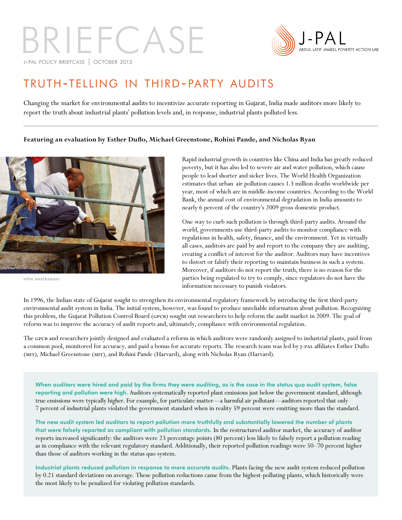# $(A5F$ j-pal policy briefcase | october 2013



# truth-telling in third-part y audits

Changing the market for environmental audits to incentivize accurate reporting in Gujarat, India made auditors more likely to report the truth about industrial plants' pollution levels and, in response, industrial plants polluted less.

#### **Featuring an evaluation by Esther Duflo, Michael Greenstone, Rohini Pande, and Nicholas Ryan**



vipin awatramani

Rapid industrial growth in countries like China and India has greatly reduced poverty, but it has also led to severe air and water pollution, which cause people to lead shorter and sicker lives. The World Health Organization estimates that urban air pollution causes 1.3 million deaths worldwide per year, most of which are in middle-income countries. According to the World Bank, the annual cost of environmental degradation in India amounts to nearly 6 percent of the country's 2009 gross domestic product.

One way to curb such pollution is through third-party audits. Around the world, governments use third-party audits to monitor compliance with regulations in health, safety, finance, and the environment. Yet in virtually all cases, auditors are paid by and report to the company they are auditing, creating a conflict of interest for the auditor. Auditors may have incentives to distort or falsify their reporting to maintain business in such a system. Moreover, if auditors do not report the truth, there is no reason for the parties being regulated to try to comply, since regulators do not have the information necessary to punish violators.

In 1996, the Indian state of Gujarat sought to strengthen its environmental regulatory framework by introducing the first third-party environmental audit system in India. The initial system, however, was found to produce unreliable information about pollution. Recognizing this problem, the Gujarat Pollution Control Board (GPCB) sought out researchers to help reform the audit market in 2009. The goal of reform was to improve the accuracy of audit reports and, ultimately, compliance with environmental regulation.

The GPCB and researchers jointly designed and evaluated a reform in which auditors were randomly assigned to industrial plants, paid from a common pool, monitored for accuracy, and paid a bonus for accurate reports. The research team was led by J-PAL affiliates Esther Duflo (mit), Michael Greenstone (mit), and Rohini Pande (Harvard), along with Nicholas Ryan (Harvard).

When auditors were hired and paid by the firms they were auditing, as is the case in the status quo audit system, false reporting and pollution were high. Auditors systematically reported plant emissions just below the government standard, although true emissions were typically higher. For example, for particulate matter—a harmful air pollutant—auditors reported that only 7 percent of industrial plants violated the government standard when in reality 59 percent were emitting more than the standard.

The new audit system led auditors to report pollution more truthfully and substantially lowered the number of plants that were falsely reported as compliant with pollution standards. In the restructured auditor market, the accuracy of auditor reports increased significantly: the auditors were 23 percentage points (80 percent) less likely to falsely report a pollution reading as in compliance with the relevant regulatory standard. Additionally, their reported pollution readings were 50–70 percent higher than those of auditors working in the status quo system.

Industrial plants reduced pollution in response to more accurate audits. Plants facing the new audit system reduced pollution by 0.21 standard deviations on average. These pollution reductions came from the highest-polluting plants, which historically were the most likely to be penalized for violating pollution standards.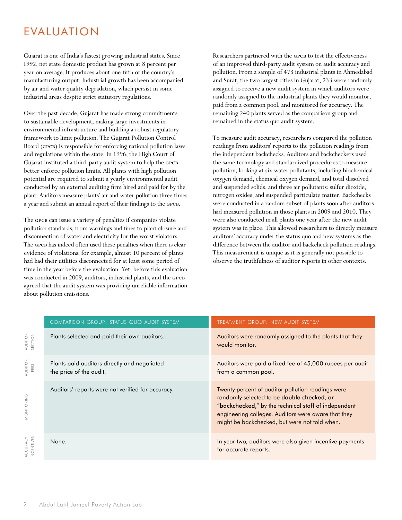# **EVALUATION**

Gujarat is one of India's fastest growing industrial states. Since 1992, net state domestic product has grown at 8 percent per year on average. It produces about one-fifth of the country's manufacturing output. Industrial growth has been accompanied by air and water quality degradation, which persist in some industrial areas despite strict statutory regulations.

Over the past decade, Gujarat has made strong commitments to sustainable development, making large investments in environmental infrastructure and building a robust regulatory framework to limit pollution. The Gujarat Pollution Control Board (GPCB) is responsible for enforcing national pollution laws and regulations within the state. In 1996, the High Court of Gujarat instituted a third-party audit system to help the GPCB better enforce pollution limits. All plants with high pollution potential are required to submit a yearly environmental audit conducted by an external auditing firm hired and paid for by the plant. Auditors measure plants' air and water pollution three times a year and submit an annual report of their findings to the GPCB.

The GPCB can issue a variety of penalties if companies violate pollution standards, from warnings and fines to plant closure and disconnection of water and electricity for the worst violators. The GPCB has indeed often used these penalties when there is clear evidence of violations; for example, almost 10 percent of plants had had their utilities disconnected for at least some period of time in the year before the evaluation. Yet, before this evaluation was conducted in 2009, auditors, industrial plants, and the GPCB agreed that the audit system was providing unreliable information about pollution emissions.

Researchers partnered with the GPCB to test the effectiveness of an improved third-party audit system on audit accuracy and pollution. From a sample of 473 industrial plants in Ahmedabad and Surat, the two largest cities in Gujarat, 233 were randomly assigned to receive a new audit system in which auditors were randomly assigned to the industrial plants they would monitor, paid from a common pool, and monitored for accuracy. The remaining 240 plants served as the comparison group and remained in the status quo audit system.

To measure audit accuracy, researchers compared the pollution readings from auditors' reports to the pollution readings from the independent backchecks. Auditors and backcheckers used the same technology and standardized procedures to measure pollution, looking at six water pollutants, including biochemical oxygen demand, chemical oxygen demand, and total dissolved and suspended solids, and three air pollutants: sulfur dioxide, nitrogen oxides, and suspended particulate matter. Backchecks were conducted in a random subset of plants soon after auditors had measured pollution in those plants in 2009 and 2010. They were also conducted in all plants one year after the new audit system was in place. This allowed researchers to directly measure auditors' accuracy under the status quo and new systems as the difference between the auditor and backcheck pollution readings. This measurement is unique as it is generally not possible to observe the truthfulness of auditor reports in other contexts.

|                        | COMPARISON GROUP: STATUS QUO AUDIT SYSTEM                               | TREATMENT GROUP: NEW AUDIT SYSTEM                                                                                                                                                                                                                               |
|------------------------|-------------------------------------------------------------------------|-----------------------------------------------------------------------------------------------------------------------------------------------------------------------------------------------------------------------------------------------------------------|
| AUDITOR<br>SECTION     | Plants selected and paid their own auditors.                            | Auditors were randomly assigned to the plants that they<br>would monitor.                                                                                                                                                                                       |
| AUDITOR<br>FEES        | Plants paid auditors directly and negotiated<br>the price of the audit. | Auditors were paid a fixed fee of 45,000 rupees per audit<br>from a common pool.                                                                                                                                                                                |
| MONITORING             | Auditors' reports were not verified for accuracy.                       | Twenty percent of auditor pollution readings were<br>randomly selected to be double checked, or<br>"backchecked," by the technical staff of independent<br>engineering colleges. Auditors were aware that they<br>might be backchecked, but were not told when. |
| ACCURACY<br>INCENTIVES | None.                                                                   | In year two, auditors were also given incentive payments<br>for accurate reports.                                                                                                                                                                               |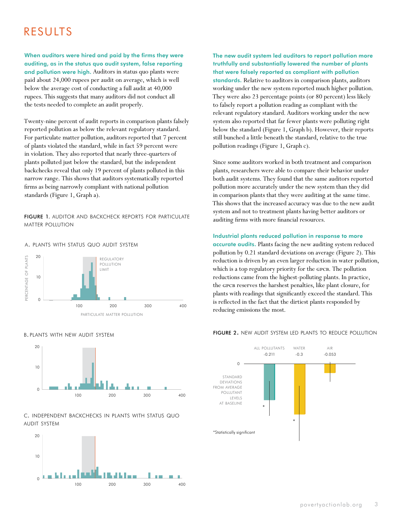### **RESULTS**

When auditors were hired and paid by the firms they were auditing, as in the status quo audit system, false reporting and pollution were high. Auditors in status quo plants were paid about 24,000 rupees per audit on average, which is well below the average cost of conducting a full audit at 40,000 rupees. This suggests that many auditors did not conduct all the tests needed to complete an audit properly.

Twenty-nine percent of audit reports in comparison plants falsely reported pollution as below the relevant regulatory standard. For particulate matter pollution, auditors reported that 7 percent of plants violated the standard, while in fact 59 percent were in violation. They also reported that nearly three-quarters of plants polluted just below the standard, but the independent backchecks reveal that only 19 percent of plants polluted in this narrow range. This shows that auditors systematically reported firms as being narrowly compliant with national pollution standards (Figure 1, Graph a).

FIGURE 1. AUDITOR AND BACKCHECK REPORTS FOR PARTICULATE matter pollution

a. plants with status quo audit system







c. independent backchecks in plants with status quo audit system



#### The new audit system led auditors to report pollution more truthfully and substantially lowered the number of plants that were falsely reported as compliant with pollution

standards. Relative to auditors in comparison plants, auditors working under the new system reported much higher pollution. They were also 23 percentage points (or 80 percent) less likely to falsely report a pollution reading as compliant with the relevant regulatory standard. Auditors working under the new system also reported that far fewer plants were polluting right below the standard (Figure 1, Graph b). However, their reports still bunched a little beneath the standard, relative to the true pollution readings (Figure 1, Graph c).

Since some auditors worked in both treatment and comparison plants, researchers were able to compare their behavior under both audit systems. They found that the same auditors reported pollution more accurately under the new system than they did in comparison plants that they were auditing at the same time. This shows that the increased accuracy was due to the new audit system and not to treatment plants having better auditors or auditing firms with more financial resources.

#### Industrial plants reduced pollution in response to more

accurate audits. Plants facing the new auditing system reduced pollution by 0.21 standard deviations on average (Figure 2). This reduction is driven by an even larger reduction in water pollution, which is a top regulatory priority for the GPCB. The pollution reductions came from the highest-polluting plants. In practice, the GPCB reserves the harshest penalties, like plant closure, for plants with readings that significantly exceed the standard. This is reflected in the fact that the dirtiest plants responded by reducing emissions the most.

#### figure 2. new audit system led plants to reduce pollution